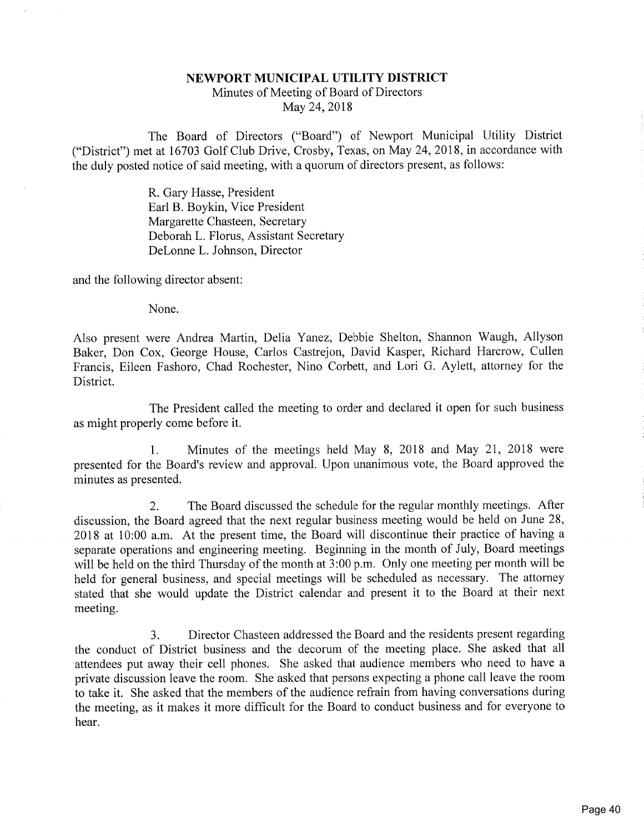## NEWPORT MUNICIPAL UTILITY DISTRICTMinutes of Meeting of Board of DirectorsMay 24, 2018

The Board of Directors ("Board") of Newport Municipal Utility District ("District") met at 16703 Golf Club Drive, Crosby, Texas, on May 24, 2018, in accordance withthe duly posted notice of said meeting, with a quorum of directors present, as follows:

> R. Gary Hasse, President Earl B. Boykin, Vice President Margarette Chasteen, Secretary Deborah L. Florus, Assistant SecretaryDeLonne L. Johnson, Director

and the following director absent;

None.

Also present were Andrea Martin, Delia Yanez, Debbie Shelton, Shannon Waugh, Allyson Baker, Don Cox, George House, Carlos Castrejon, David Kasper, Richard Harcrow, Cullen Francis, Eileen Fashoro, Chad Rochester, Nino Corbett, and Lori G. Aylett, attorney for theDistrict.

The President called the meeting to order and declared it open for such businessas might properly come before it.

1. Minutes of the meetings held May 8, 2018 and May 21, 2018 were presented for the Board's review and approval. Upon unanimous vote, the Board approved theminutes as presented.

2. The Board discussed the schedule for the regular monthly meetings. After discussion, the Board agreed that the next regular business meeting would be held on June 28, 2018 at 10:00 a.m. At the present time, the Board will discontinue their practice of having a separate operations and engineering meeting. Beginning in the month of July, Board meetings will be held on the third Thursday of the month at 3:00 p.m. Only one meeting per month will be held for general business, and special meetings will be scheduled as necessary. The attorneystated that she would update the District calendar and present it to the Board at their nex meeting.

3. Director Chasteen addressed the Board and the residents present regarding the conduct of District business and the decorum of the meeting place. She asked that all attendees put away their cell phones. She asked that audience members who need to have a private discussion leave the room. She asked that persons expecting a phone call leave the room to take it. She asked that the members of the audience refrain from having conversations during the meeting, as it makes it more difficult for the Board to conduct business and for everyone tohear.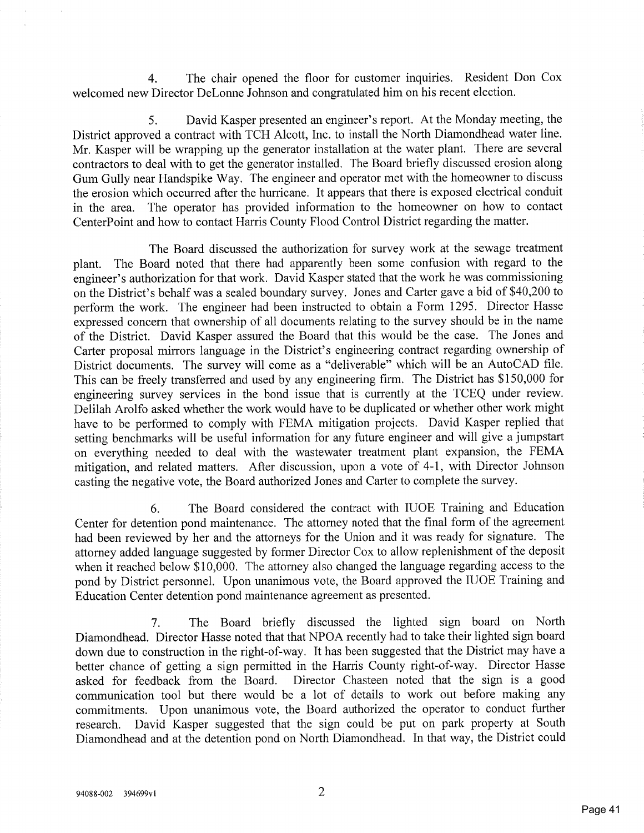4. The chair opened the floor for customer inquiries. Resident Don Coxwelcomed new Director DeLonne Johnson and congratulated him on his recent election.

5. David Kasper presented an engineer's report. At the Monday meeting, the District approved a contract with TCH Alcott, Inc. to install the North Diamondhead water line. Mr. Kasper will be wrapping up the generator installation at the water plant. There are several contractors to deal with to get the generator installed. The Board briefly discussed erosion along Gum Gully near Handspike Way. The engineer and operator met with the homeowner to discuss the erosion which occurred after the hurricane. It appears that there is exposed electrical conduit in the area. The operator has provided information to the homeowner on how to contactCenterPoint and how to contact Harris County Flood Control District regarding the matter.

The Board discussed the authorization for survey work at the sewage treatment plant. The Board noted that there had apparently been some confusion with regard to the engineer's authorization for that work. David Kasper stated that the work he was commissioning on the District's behalf was a sealed boundary survey. Jones and Carter gave a bid of \$40,200 to perform the work. The engineer had been instructed to obtain a Form 1295. Director Hasse expressed concern that ownership of all documents relating to the survey should be in the name of the District. David Kasper assured the Board that this would be the case. The Jones and Carter proposal mirrors language in the District's engineering contract regarding ownership of District documents. The survey will come as a "deliverable" which will be an AutoCAD file. This can be freely transferred and used by any engineering firm. The District has \$150,000 for engineering survey services in the bond issue that is currently at the TCEQ under review. Delilah Arolfo asked whether the work would have to be duplicated or whether other work mighthave to be performed to comply with FEMA mitigation projects. David Kasper replied that setting benchmarks will be useful information for any future engineer and will give a jumpstar on everything needed to deal with the wastewater treatment plant expansion, the  $FEMA$  mitigation, and related matters. After discussion, upon a vote of 4-1, with Director Johnsoncasting the negative vote, the Board authorized Jones and Carter to complete the survey.

6. The Board considered the contract with IUOE Training and Education Center for detention pond maintenance. The attorney noted that the final form of the agreement had been reviewed by her and the attorneys for the Union and it was ready for signature. The attorney added language suggested by former Director Cox to allow replenishment of the deposit when it reached below \$10,000. The attorney also changed the language regarding access to the pond by District personnel. Upon unanimous vote, the Board approved the IUOE Training andEducation Center detention pond maintenance agreement as presented.

7. The Board briefly discussed the lighted sign board on North Diamondhead. Director Hasse noted that that NPOA recently had to take their lighted sign boarddown due to construction in the right-of-way. It has been suggested that the District may have a better chance of getting a sign permitted in the Harris County right-of-way. Director Hasse asked for feedback from the Board. Director Chasteen noted that the sign is a good communication tool but there would be a lot of details to work out before making any commitments. Upon unanimous vote, the Board authorized the operator to conduct further research. David Kasper suggested that the sign could be put on park property at SouthDiamondhead and at the detention pond on North Diamondhead. In that way, the District could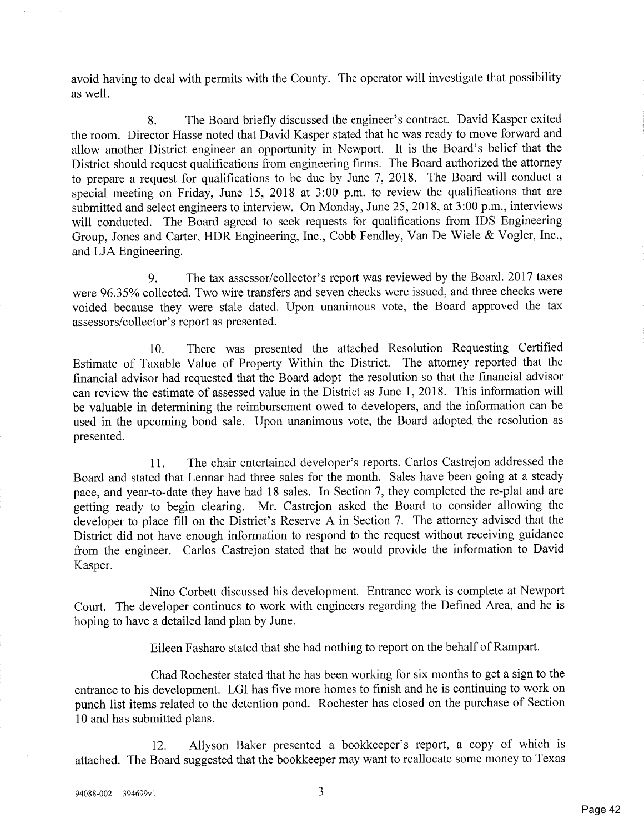avoid having to deal with permits with the County. The operator will investigate that possibilityas well.

8. The Board briefly discussed the engineer's contract. David Kasper exited the room. Director Hasse noted that David Kasper stated that he was ready to move forward and allow another District engineer an opportunity in Newport. It is the Board's belief that the District should request qualifications from engineering firms. The Board authorized the attorney to prepare a request for qualifications to be due by June 7, 2018. The Board will conduct a special meeting on Friday, June 15, 2018 at 3:00 p.m. to review the qualifications that are submitted and select engineers to interview. On Monday, June 25, 2018, at 3:00 p.m., interviews will conducted. The Board agreed to seek requests for qualifications from IDS Engineering Group, Jones and Carter, HDR Engineering, Inc., Cobb Fendley, Van De Wiele & Vogler, Inc.,and LJA Engineering.

9. The tax assessor/collector's report was reviewed by the Board. 2017 taxes were 96.35% collected. Two wire transfers and seven checks were issued, and three checks were voided because they were stale dated. Upon unanimous vote, the Board approved the taxassessors/collector's report as presented.

10. There was presented the attached Resolution Requesting Certified Estimate of Taxable Value of Property Within the District. The attorney reported that the financial advisor had requested that the Board adopt the resolution so that the financial advisor can review the estimate of assessed value in the District as June 1, 2018. This information will be valuable in determining the reimbursement owed to developers, and the information can be used in the upcoming bond sale. Upon unanimous vote, the Board adopted the resolution aspresented.

11. The chair entertained developer's reports. Carios Castrejon addressed the Board and stated that Lennar had three sales for the month. Sales have been going at a steady pace, and year-to-date they have had 18 sales. In Section 7, they completed the re-plat and are getting ready to begin clearing. Mr. Castrejon asked the Board to consider allowing the developer to place fill on the District's Reserve A in Section 7. The attorney advised that the District did not have enough information to respond to the request without receiving guidance from the engineer. Carlos Castrejon stated that he would provide the information to DavidKasper.

Nino Corbett discussed his development. Entrance work is complete at Newport Court. The developer continues to work with engineers regarding the Defined Area, and he ishoping to have a detailed land plan by June.

Eileen Fasharo stated that she had nothing to report on the behalf of Rampart.

Chad Rochester stated that he has been working for six months to get a sign to the entrance to his development. LGI has five more homes to finish and he is continuing to work on punch list items related to the detention pond. Rochester has closed on the purchase of Section10 and has submitted plans.

12. Allyson Baker presented a bookkeeper's report, a copy of which isattached. The Board suggested that the bookkeeper may want to reallocate some money to Texa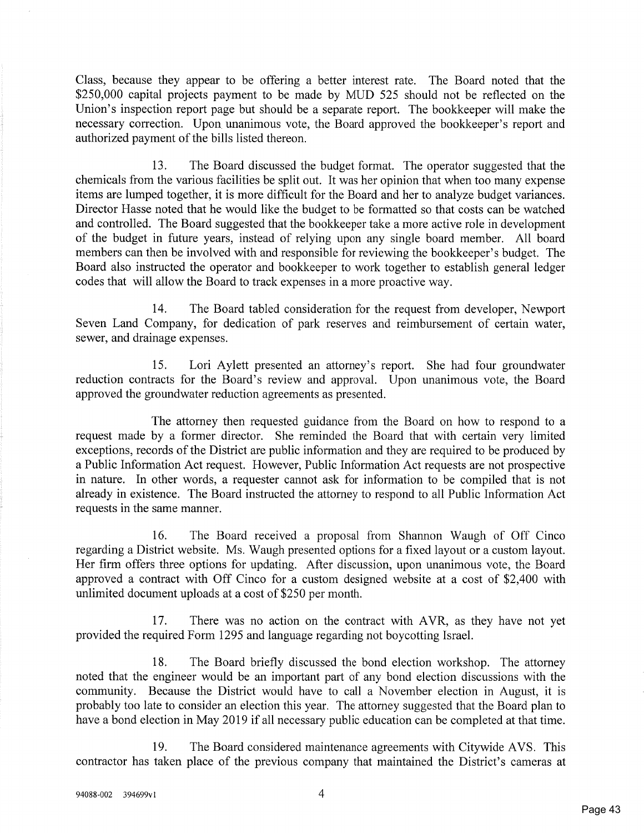Class, because they appear to be offering a better interest rate. The Board noted that the \$250,000 capital projects payment to be made by MUD 525 should not be reflected on the Union's inspection report page but should be a separate report. The bookkeeper will make thenecessary correction. Upon unanimous vote, the Board approved the bookkeeper's report and authorized payment of the bills listed thereon.

13. The Board discussed the budget format. The operator suggested that thechemicals from the various facilities be split out. It was her opinion that when too many expens items are lumped together, it is more difficult for the Board and her to analyze budget variances. Director Hasse noted that he would like the budget to be formatted so that costs can be watchedand controlled. The Board suggested that the bookkeeper take a more active role in developmer of the budget in future years, instead of relying upon any single board member. All board members can then be involved with and responsible for reviewing the bookkeeper's budget. TheBoard also instructed the operator and bookkeeper to work together to establish general ledge codes that will allow the Board to track expenses in a more proactive way.

14. The Board tabled consideration for the request from developer, NewportSeven Land Company, for dedication of park reserves and reimbursement of certain water sewer, and drainage expenses.

15. Lori Aylett presented an attorney's report. She had four groundwaterreduction contracts for the Board's review and approval. Upon unanimous vote, the Board approved the groundwater reduction agreements as presented.

The attorney then requested guidance from the Board on how to respond to arequest made by a former director. She reminded the Board that with certain very limited exceptions, records of the District are public information and they are required to be produced bya Public Information Act request. However, Public Information Act requests are not prospectiv in nature. In other words, a requester cannot ask for information to be compiled that is notalready in existence. The Board instructed the attorney to respond to all Public Information Ac requests in the same manner.

16. The Board received a proposal from Shannon Waugh of Off Cinco regarding a District website. Ms. Waugh presented options for a fixed layout or a custom layout.Her firm offers three options for updating. After discussion, upon unanimous vote, the Board approved a contract with Off Cinco for a custom designed website at a cost of \$2,400 withunlimited document uploads at a cost of \$250 per month.

17. There was no action on the contract with AYR, as they have not yetprovided the required Fonn 1295 and language regarding not boycotting Israel.

18. The Board briefly discussed the bond election workshop. The attorney noted that the engineer would be an important part of any bond election discussions with the community. Because the District would have to call a November election in August, it isprobably too late to consider an election this year. The attorney suggested that the Board plan to have a bond election in May 2019 if all necessary public education can be completed at that time

19. The Board considered maintenance agreements with Citywide AVS. Thiscontractor has taken place of the previous company that maintained the District's cameras a